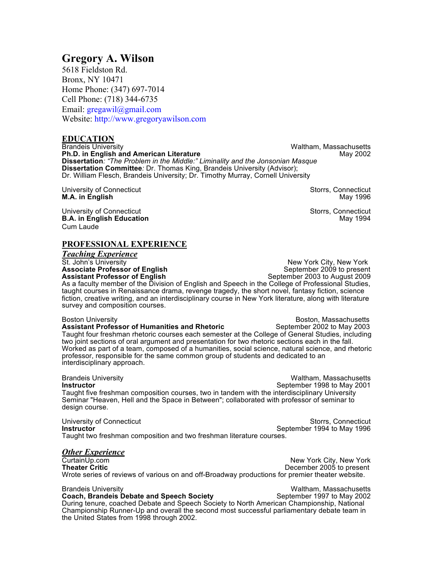## **Gregory A. Wilson**

5618 Fieldston Rd. Bronx, NY 10471 Home Phone: (347) 697-7014 Cell Phone: (718) 344-6735 Email: gregawil@gmail.com Website: http://www.gregoryawilson.com

# **EDUCATION**<br>**Brandeis University**

Waltham, Massachusetts **Ph.D. in English and American Literature May 2002** May 2002 **Dissertation***: "The Problem in the Middle:" Liminality and the Jonsonian Masque* **Dissertation Committee***:* Dr. Thomas King, Brandeis University (Advisor); Dr. William Flesch, Brandeis University; Dr. Timothy Murray, Cornell University

University of Connecticut University of Connecticut<br>M.A. in English Storrs, Connecticut M.A. in English Storrs, Connecticut M.A. in English **M.A. in English** 

University of Connecticut Storrs, Connecticut Storrs, Connecticut Storrs, Connecticut **B.A. in English Education** May 1994 Cum Laude

#### **PROFESSIONAL EXPERIENCE**

*Teaching Experience* St. John's University<br> **Associate Professor of English** New York City, New York City, New York City, New York City, New York **Associate Professor of English 8-1 September 2009 to present Assistant Professor of English 8-1 September 2003 to August 2009 Assistant Professor of English** 

As a faculty member of the Division of English and Speech in the College of Professional Studies, taught courses in Renaissance drama, revenge tragedy, the short novel, fantasy fiction, science fiction, creative writing, and an interdisciplinary course in New York literature, along with literature survey and composition courses.

Boston University<br> **Assistant Professor of Humanities and Rhetoric** Boston, Massachusetts<br>
September 2002 to May 2003 **Assistant Professor of Humanities and Rhetoric** Taught four freshman rhetoric courses each semester at the College of General Studies, including two joint sections of oral argument and presentation for two rhetoric sections each in the fall. Worked as part of a team, composed of a humanities, social science, natural science, and rhetoric professor, responsible for the same common group of students and dedicated to an interdisciplinary approach.

Brandeis University **National Standard Engineeries** Christene Mathem, Massachusetts **Mathem**<br>
Beptember 1998 to May 2001 **Instructor** September 1998 to May 2001 Taught five freshman composition courses, two in tandem with the interdisciplinary University Seminar "Heaven, Hell and the Space in Between"; collaborated with professor of seminar to design course.

University of Connecticut<br> **Instructor**<br>
September 1994 to May 1996 September 1994 to May 1996 Taught two freshman composition and two freshman literature courses.

# *Other Experience*

New York City, New York **Theater Critic** December 2005 to present Wrote series of reviews of various on and off-Broadway productions for premier theater website.

the United States from 1998 through 2002.

Brandeis University<br>Coach, Brandeis Debate and Speech Society Franchise September 1997 to May 2002 **Coach, Brandeis Debate and Speech Society** During tenure, coached Debate and Speech Society to North American Championship, National Championship Runner-Up and overall the second most successful parliamentary debate team in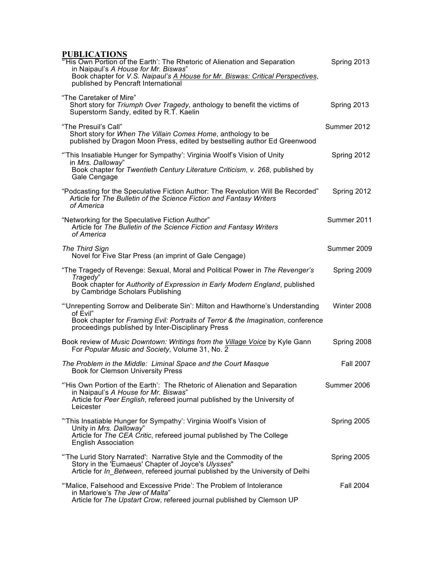### **PUBLICATIONS**

| "'His Own Portion of the Earth': The Rhetoric of Alienation and Separation<br>in Naipaul's A House for Mr. Biswas"<br>Book chapter for V.S. Naipaul's A House for Mr. Biswas: Critical Perspectives,<br>published by Pencraft International | Spring 2013      |
|---------------------------------------------------------------------------------------------------------------------------------------------------------------------------------------------------------------------------------------------|------------------|
| "The Caretaker of Mire"<br>Short story for Triumph Over Tragedy, anthology to benefit the victims of<br>Superstorm Sandy, edited by R.T. Kaelin                                                                                             | Spring 2013      |
| "The Presuil's Call"<br>Short story for When The Villain Comes Home, anthology to be<br>published by Dragon Moon Press, edited by bestselling author Ed Greenwood                                                                           | Summer 2012      |
| "This Insatiable Hunger for Sympathy': Virginia Woolf's Vision of Unity<br>in Mrs. Dalloway"<br>Book chapter for Twentieth Century Literature Criticism, v. 268, published by<br>Gale Cengage                                               | Spring 2012      |
| "Podcasting for the Speculative Fiction Author: The Revolution Will Be Recorded"<br>Article for The Bulletin of the Science Fiction and Fantasy Writers<br>of America                                                                       | Spring 2012      |
| "Networking for the Speculative Fiction Author"<br>Article for The Bulletin of the Science Fiction and Fantasy Writers<br>of America                                                                                                        | Summer 2011      |
| The Third Sign<br>Novel for Five Star Press (an imprint of Gale Cengage)                                                                                                                                                                    | Summer 2009      |
| "The Tragedy of Revenge: Sexual, Moral and Political Power in The Revenger's<br>Tragedy"<br>Book chapter for Authority of Expression in Early Modern England, published<br>by Cambridge Scholars Publishing                                 | Spring 2009      |
| "Unrepenting Sorrow and Deliberate Sin': Milton and Hawthorne's Understanding<br>of Evil"<br>Book chapter for Framing Evil: Portraits of Terror & the Imagination, conference<br>proceedings published by Inter-Disciplinary Press          | Winter 2008      |
| Book review of Music Downtown: Writings from the Village Voice by Kyle Gann<br>For Popular Music and Society, Volume 31, No. 2                                                                                                              | Spring 2008      |
| The Problem in the Middle: Liminal Space and the Court Masque<br><b>Book for Clemson University Press</b>                                                                                                                                   | <b>Fall 2007</b> |
| "His Own Portion of the Earth': The Rhetoric of Alienation and Separation<br>in Naipaul's A House for Mr. Biswas"<br>Article for Peer English, refereed journal published by the University of<br>Leicester                                 | Summer 2006      |
| "This Insatiable Hunger for Sympathy': Virginia Woolf's Vision of<br>Unity in Mrs. Dalloway"<br>Article for The CEA Critic, refereed journal published by The College<br><b>English Association</b>                                         | Spring 2005      |
| "The Lurid Story Narrated": Narrative Style and the Commodity of the<br>Story in the 'Eumaeus' Chapter of Joyce's Ulysses"<br>Article for In Between, refereed journal published by the University of Delhi                                 | Spring 2005      |
| "Malice, Falsehood and Excessive Pride': The Problem of Intolerance<br>in Marlowe's The Jew of Malta"<br>Article for The Upstart Crow, refereed journal published by Clemson UP                                                             | <b>Fall 2004</b> |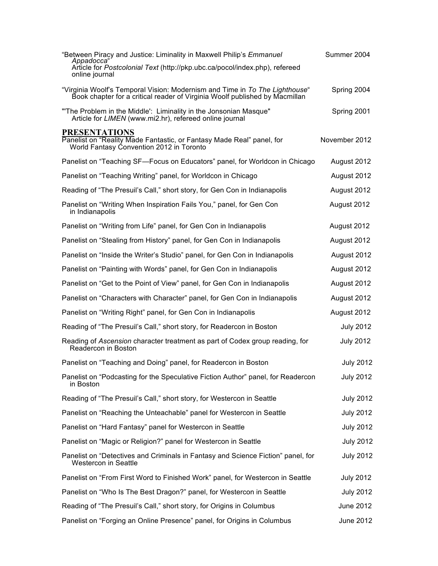| "Between Piracy and Justice: Liminality in Maxwell Philip's Emmanuel                                                                                       | Summer 2004      |
|------------------------------------------------------------------------------------------------------------------------------------------------------------|------------------|
| Appadocca<br>Article for Postcolonial Text (http://pkp.ubc.ca/pocol/index.php), refereed<br>online journal                                                 |                  |
| "Virginia Woolf's Temporal Vision: Modernism and Time in To The Lighthouse"<br>Book chapter for a critical reader of Virginia Woolf published by Macmillan | Spring 2004      |
| "The Problem in the Middle': Liminality in the Jonsonian Masque"<br>Article for LIMEN (www.mi2.hr), refereed online journal                                | Spring 2001      |
| <b>PRESENTATIONS</b><br>Panelist on "Reality Made Fantastic, or Fantasy Made Real" panel, for<br>World Fantasy Convention 2012 in Toronto                  | November 2012    |
| Panelist on "Teaching SF-Focus on Educators" panel, for Worldcon in Chicago                                                                                | August 2012      |
| Panelist on "Teaching Writing" panel, for Worldcon in Chicago                                                                                              | August 2012      |
| Reading of "The Presuil's Call," short story, for Gen Con in Indianapolis                                                                                  | August 2012      |
| Panelist on "Writing When Inspiration Fails You," panel, for Gen Con<br>in Indianapolis                                                                    | August 2012      |
| Panelist on "Writing from Life" panel, for Gen Con in Indianapolis                                                                                         | August 2012      |
| Panelist on "Stealing from History" panel, for Gen Con in Indianapolis                                                                                     | August 2012      |
| Panelist on "Inside the Writer's Studio" panel, for Gen Con in Indianapolis                                                                                | August 2012      |
| Panelist on "Painting with Words" panel, for Gen Con in Indianapolis                                                                                       | August 2012      |
| Panelist on "Get to the Point of View" panel, for Gen Con in Indianapolis                                                                                  | August 2012      |
| Panelist on "Characters with Character" panel, for Gen Con in Indianapolis                                                                                 | August 2012      |
| Panelist on "Writing Right" panel, for Gen Con in Indianapolis                                                                                             | August 2012      |
| Reading of "The Presuil's Call," short story, for Readercon in Boston                                                                                      | <b>July 2012</b> |
| Reading of Ascension character treatment as part of Codex group reading, for<br>Readercon in Boston                                                        | <b>July 2012</b> |
| Panelist on "Teaching and Doing" panel, for Readercon in Boston                                                                                            | <b>July 2012</b> |
| Panelist on "Podcasting for the Speculative Fiction Author" panel, for Readercon<br>in Boston                                                              | <b>July 2012</b> |
| Reading of "The Presuil's Call," short story, for Westercon in Seattle                                                                                     | <b>July 2012</b> |
| Panelist on "Reaching the Unteachable" panel for Westercon in Seattle                                                                                      | <b>July 2012</b> |
| Panelist on "Hard Fantasy" panel for Westercon in Seattle                                                                                                  | <b>July 2012</b> |
| Panelist on "Magic or Religion?" panel for Westercon in Seattle                                                                                            | <b>July 2012</b> |
| Panelist on "Detectives and Criminals in Fantasy and Science Fiction" panel, for<br>Westercon in Seattle                                                   | <b>July 2012</b> |
| Panelist on "From First Word to Finished Work" panel, for Westercon in Seattle                                                                             | <b>July 2012</b> |
| Panelist on "Who Is The Best Dragon?" panel, for Westercon in Seattle                                                                                      | <b>July 2012</b> |
| Reading of "The Presuil's Call," short story, for Origins in Columbus                                                                                      | June 2012        |
| Panelist on "Forging an Online Presence" panel, for Origins in Columbus                                                                                    | June 2012        |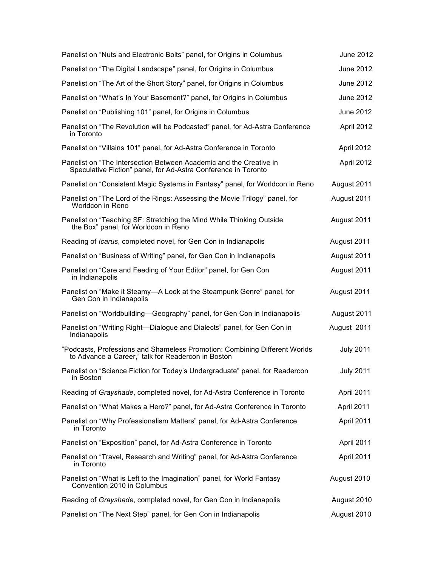| Panelist on "Nuts and Electronic Bolts" panel, for Origins in Columbus                                                               | June 2012        |
|--------------------------------------------------------------------------------------------------------------------------------------|------------------|
| Panelist on "The Digital Landscape" panel, for Origins in Columbus                                                                   | June 2012        |
| Panelist on "The Art of the Short Story" panel, for Origins in Columbus                                                              | June 2012        |
| Panelist on "What's In Your Basement?" panel, for Origins in Columbus                                                                | June 2012        |
| Panelist on "Publishing 101" panel, for Origins in Columbus                                                                          | June 2012        |
| Panelist on "The Revolution will be Podcasted" panel, for Ad-Astra Conference<br>in Toronto                                          | April 2012       |
| Panelist on "Villains 101" panel, for Ad-Astra Conference in Toronto                                                                 | April 2012       |
| Panelist on "The Intersection Between Academic and the Creative in<br>Speculative Fiction" panel, for Ad-Astra Conference in Toronto | April 2012       |
| Panelist on "Consistent Magic Systems in Fantasy" panel, for Worldcon in Reno                                                        | August 2011      |
| Panelist on "The Lord of the Rings: Assessing the Movie Trilogy" panel, for<br>Worldcon in Reno                                      | August 2011      |
| Panelist on "Teaching SF: Stretching the Mind While Thinking Outside<br>the Box" panel, for Worldcon in Reno                         | August 2011      |
| Reading of Icarus, completed novel, for Gen Con in Indianapolis                                                                      | August 2011      |
| Panelist on "Business of Writing" panel, for Gen Con in Indianapolis                                                                 | August 2011      |
| Panelist on "Care and Feeding of Your Editor" panel, for Gen Con<br>in Indianapolis                                                  | August 2011      |
| Panelist on "Make it Steamy-A Look at the Steampunk Genre" panel, for<br>Gen Con in Indianapolis                                     | August 2011      |
| Panelist on "Worldbuilding—Geography" panel, for Gen Con in Indianapolis                                                             | August 2011      |
| Panelist on "Writing Right--Dialogue and Dialects" panel, for Gen Con in<br>Indianapolis                                             | August 2011      |
| "Podcasts, Professions and Shameless Promotion: Combining Different Worlds<br>to Advance a Career," talk for Readercon in Boston     | <b>July 2011</b> |
| Panelist on "Science Fiction for Today's Undergraduate" panel, for Readercon<br>in Boston                                            | <b>July 2011</b> |
| Reading of Grayshade, completed novel, for Ad-Astra Conference in Toronto                                                            | April 2011       |
| Panelist on "What Makes a Hero?" panel, for Ad-Astra Conference in Toronto                                                           | April 2011       |
| Panelist on "Why Professionalism Matters" panel, for Ad-Astra Conference<br>in Toronto                                               | April 2011       |
| Panelist on "Exposition" panel, for Ad-Astra Conference in Toronto                                                                   | April 2011       |
| Panelist on "Travel, Research and Writing" panel, for Ad-Astra Conference<br>in Toronto                                              | April 2011       |
| Panelist on "What is Left to the Imagination" panel, for World Fantasy<br>Convention 2010 in Columbus                                | August 2010      |
| Reading of Grayshade, completed novel, for Gen Con in Indianapolis                                                                   | August 2010      |
| Panelist on "The Next Step" panel, for Gen Con in Indianapolis                                                                       | August 2010      |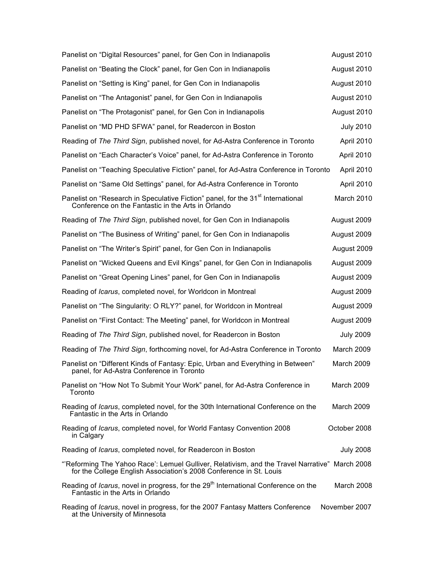| Panelist on "Digital Resources" panel, for Gen Con in Indianapolis                                                                                                  | August 2010       |
|---------------------------------------------------------------------------------------------------------------------------------------------------------------------|-------------------|
| Panelist on "Beating the Clock" panel, for Gen Con in Indianapolis                                                                                                  | August 2010       |
| Panelist on "Setting is King" panel, for Gen Con in Indianapolis                                                                                                    | August 2010       |
| Panelist on "The Antagonist" panel, for Gen Con in Indianapolis                                                                                                     | August 2010       |
| Panelist on "The Protagonist" panel, for Gen Con in Indianapolis                                                                                                    | August 2010       |
| Panelist on "MD PHD SFWA" panel, for Readercon in Boston                                                                                                            | <b>July 2010</b>  |
| Reading of The Third Sign, published novel, for Ad-Astra Conference in Toronto                                                                                      | April 2010        |
| Panelist on "Each Character's Voice" panel, for Ad-Astra Conference in Toronto                                                                                      | April 2010        |
| Panelist on "Teaching Speculative Fiction" panel, for Ad-Astra Conference in Toronto                                                                                | April 2010        |
| Panelist on "Same Old Settings" panel, for Ad-Astra Conference in Toronto                                                                                           | April 2010        |
| Panelist on "Research in Speculative Fiction" panel, for the 31 <sup>st</sup> International<br>Conference on the Fantastic in the Arts in Orlando                   | March 2010        |
| Reading of The Third Sign, published novel, for Gen Con in Indianapolis                                                                                             | August 2009       |
| Panelist on "The Business of Writing" panel, for Gen Con in Indianapolis                                                                                            | August 2009       |
| Panelist on "The Writer's Spirit" panel, for Gen Con in Indianapolis                                                                                                | August 2009       |
| Panelist on "Wicked Queens and Evil Kings" panel, for Gen Con in Indianapolis                                                                                       | August 2009       |
| Panelist on "Great Opening Lines" panel, for Gen Con in Indianapolis                                                                                                | August 2009       |
| Reading of <i>Icarus</i> , completed novel, for Worldcon in Montreal                                                                                                | August 2009       |
| Panelist on "The Singularity: O RLY?" panel, for Worldcon in Montreal                                                                                               | August 2009       |
| Panelist on "First Contact: The Meeting" panel, for Worldcon in Montreal                                                                                            | August 2009       |
| Reading of The Third Sign, published novel, for Readercon in Boston                                                                                                 | <b>July 2009</b>  |
| Reading of The Third Sign, forthcoming novel, for Ad-Astra Conference in Toronto                                                                                    | March 2009        |
| Panelist on "Different Kinds of Fantasy: Epic, Urban and Everything in Between"<br>panel, for Ad-Astra Conference in Toronto                                        | <b>March 2009</b> |
| Panelist on "How Not To Submit Your Work" panel, for Ad-Astra Conference in<br>Toronto                                                                              | March 2009        |
| Reading of <i>Icarus</i> , completed novel, for the 30th International Conference on the<br>Fantastic in the Arts in Orlando                                        | <b>March 2009</b> |
| Reading of Icarus, completed novel, for World Fantasy Convention 2008<br>in Calgary                                                                                 | October 2008      |
| Reading of <i>Icarus</i> , completed novel, for Readercon in Boston                                                                                                 | <b>July 2008</b>  |
| "Reforming The Yahoo Race': Lemuel Gulliver, Relativism, and the Travel Narrative" March 2008<br>for the College English Association's 2008 Conference in St. Louis |                   |
| Reading of Icarus, novel in progress, for the 29 <sup>th</sup> International Conference on the<br>Fantastic in the Arts in Orlando                                  | <b>March 2008</b> |
| Reading of <i>Icarus</i> , novel in progress, for the 2007 Fantasy Matters Conference<br>at the University of Minnesota                                             | November 2007     |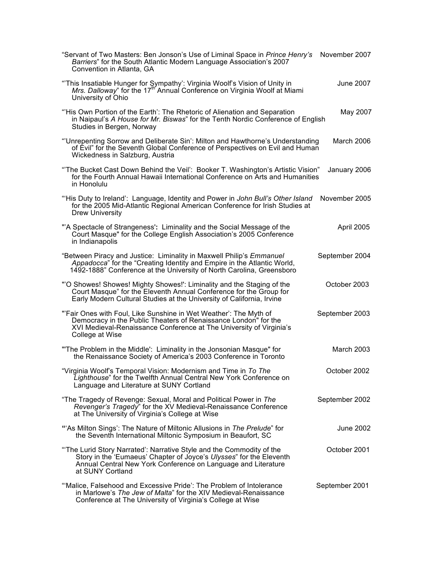| "Servant of Two Masters: Ben Jonson's Use of Liminal Space in Prince Henry's<br>Barriers" for the South Atlantic Modern Language Association's 2007<br>Convention in Atlanta, GA                                                 | November 2007     |
|----------------------------------------------------------------------------------------------------------------------------------------------------------------------------------------------------------------------------------|-------------------|
| "This Insatiable Hunger for Sympathy': Virginia Woolf's Vision of Unity in <i>Mrs. Dalloway</i> " for the 17 <sup>th</sup> Annual Conference on Virginia Woolf at Miami<br>University of Ohio                                    | June 2007         |
| "'His Own Portion of the Earth': The Rhetoric of Alienation and Separation<br>in Naipaul's A House for Mr. Biswas" for the Tenth Nordic Conference of English<br>Studies in Bergen, Norway                                       | May 2007          |
| "'Unrepenting Sorrow and Deliberate Sin': Milton and Hawthorne's Understanding<br>of Evil" for the Seventh Global Conference of Perspectives on Evil and Human<br>Wickedness in Salzburg, Austria                                | <b>March 2006</b> |
| "The Bucket Cast Down Behind the Veil': Booker T. Washington's Artistic Vision"<br>for the Fourth Annual Hawaii International Conference on Arts and Humanities<br>in Honolulu                                                   | January 2006      |
| "His Duty to Ireland': Language, Identity and Power in John Bull's Other Island<br>for the 2005 Mid-Atlantic Regional American Conference for Irish Studies at<br><b>Drew University</b>                                         | November 2005     |
| "A Spectacle of Strangeness': Liminality and the Social Message of the<br>Court Masque" for the College English Association's 2005 Conference<br>in Indianapolis                                                                 | April 2005        |
| "Between Piracy and Justice: Liminality in Maxwell Philip's Emmanuel<br>Appadocca" for the "Creating Identity and Empire in the Atlantic World,<br>1492-1888" Conference at the University of North Carolina, Greensboro         | September 2004    |
| "'O Showes! Showes! Mighty Showes!': Liminality and the Staging of the<br>Court Masque" for the Eleventh Annual Conference for the Group for<br>Early Modern Cultural Studies at the University of California, Irvine            | October 2003      |
| "'Fair Ones with Foul, Like Sunshine in Wet Weather': The Myth of<br>Democracy in the Public Theaters of Renaissance London" for the<br>XVI Medieval-Renaissance Conference at The University of Virginia's<br>College at Wise   | September 2003    |
| "The Problem in the Middle": Liminality in the Jonsonian Masque" for<br>the Renaissance Society of America's 2003 Conference in Toronto                                                                                          | <b>March 2003</b> |
| "Virginia Woolf's Temporal Vision: Modernism and Time in To The<br>Lighthouse" for the Twelfth Annual Central New York Conference on<br>Language and Literature at SUNY Cortland                                                 | October 2002      |
| "The Tragedy of Revenge: Sexual, Moral and Political Power in The<br>Revenger's Tragedy" for the XV Medieval-Renaissance Conference<br>at The University of Virginia's College at Wise                                           | September 2002    |
| "'As Milton Sings': The Nature of Miltonic Allusions in The Prelude" for<br>the Seventh International Miltonic Symposium in Beaufort, SC                                                                                         | June 2002         |
| "The Lurid Story Narrated': Narrative Style and the Commodity of the<br>Story in the 'Eumaeus' Chapter of Joyce's Ulysses" for the Eleventh<br>Annual Central New York Conference on Language and Literature<br>at SUNY Cortland | October 2001      |
| "Malice, Falsehood and Excessive Pride': The Problem of Intolerance<br>in Marlowe's The Jew of Malta" for the XIV Medieval-Renaissance<br>Conference at The University of Virginia's College at Wise                             | September 2001    |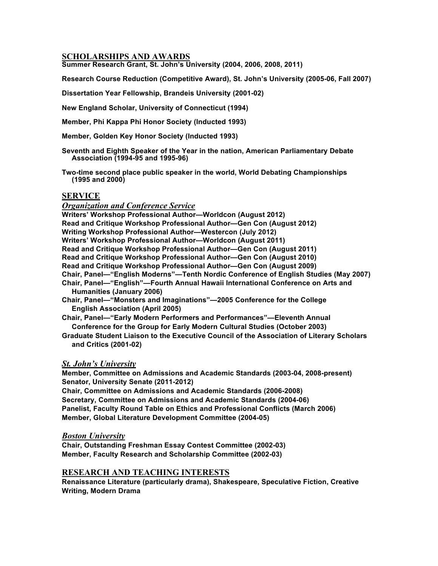#### **SCHOLARSHIPS AND AWARDS**

**Summer Research Grant, St. John's University (2004, 2006, 2008, 2011)**

**Research Course Reduction (Competitive Award), St. John's University (2005-06, Fall 2007)**

**Dissertation Year Fellowship, Brandeis University (2001-02)**

**New England Scholar, University of Connecticut (1994)**

**Member, Phi Kappa Phi Honor Society (Inducted 1993)**

**Member, Golden Key Honor Society (Inducted 1993)**

**Seventh and Eighth Speaker of the Year in the nation, American Parliamentary Debate Association (1994-95 and 1995-96)**

**Two-time second place public speaker in the world, World Debating Championships (1995 and 2000)**

#### **SERVICE**

*Organization and Conference Service* **Writers' Workshop Professional Author—Worldcon (August 2012) Read and Critique Workshop Professional Author—Gen Con (August 2012) Writing Workshop Professional Author—Westercon (July 2012) Writers' Workshop Professional Author—Worldcon (August 2011) Read and Critique Workshop Professional Author—Gen Con (August 2011) Read and Critique Workshop Professional Author—Gen Con (August 2010) Read and Critique Workshop Professional Author—Gen Con (August 2009) Chair, Panel—"English Moderns"—Tenth Nordic Conference of English Studies (May 2007) Chair, Panel—"English"—Fourth Annual Hawaii International Conference on Arts and Humanities (January 2006) Chair, Panel—"Monsters and Imaginations"—2005 Conference for the College** 

 **English Association (April 2005)**

**Chair, Panel—"Early Modern Performers and Performances"—Eleventh Annual Conference for the Group for Early Modern Cultural Studies (October 2003)**

**Graduate Student Liaison to the Executive Council of the Association of Literary Scholars and Critics (2001-02)**

#### *St. John's University*

**Member, Committee on Admissions and Academic Standards (2003-04, 2008-present) Senator, University Senate (2011-2012)**

**Chair, Committee on Admissions and Academic Standards (2006-2008) Secretary, Committee on Admissions and Academic Standards (2004-06) Panelist, Faculty Round Table on Ethics and Professional Conflicts (March 2006) Member, Global Literature Development Committee (2004-05)**

#### *Boston University*

**Chair, Outstanding Freshman Essay Contest Committee (2002-03) Member, Faculty Research and Scholarship Committee (2002-03)**

#### **RESEARCH AND TEACHING INTERESTS**

**Renaissance Literature (particularly drama), Shakespeare, Speculative Fiction, Creative Writing, Modern Drama**